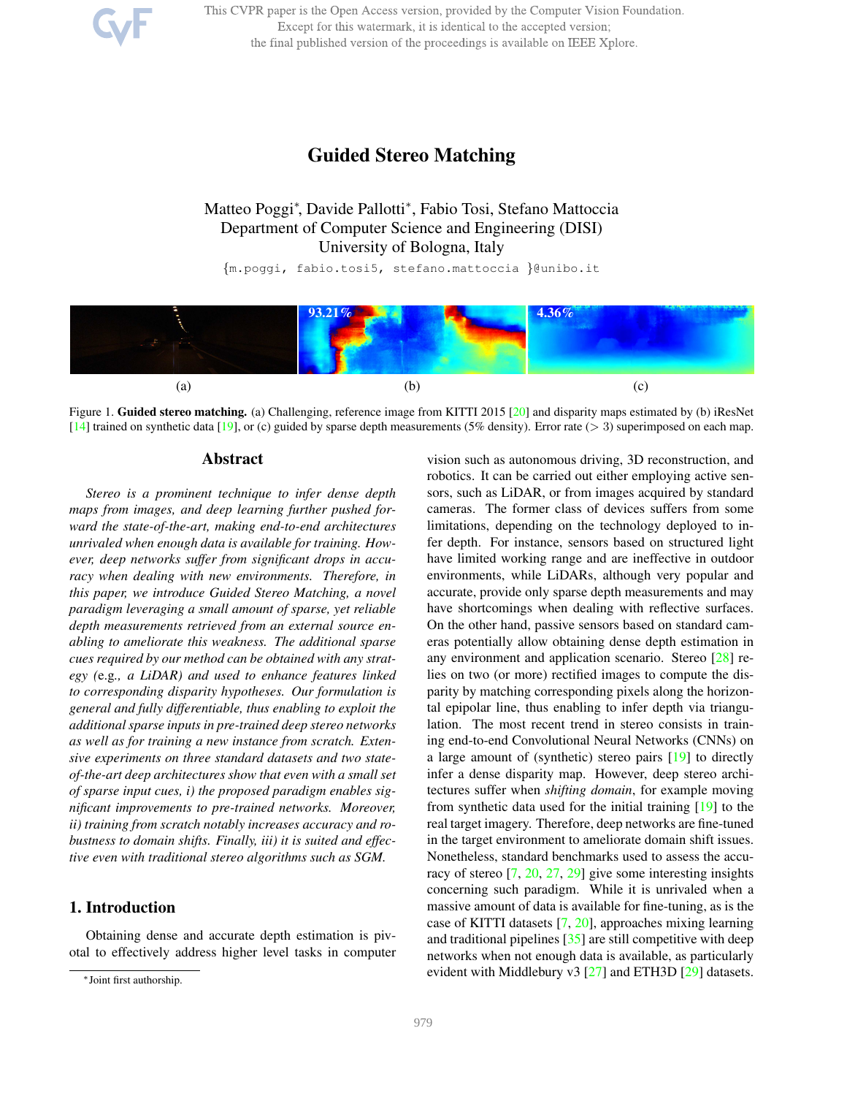This CVPR paper is the Open Access version, provided by the Computer Vision Foundation. Except for this watermark, it is identical to the accepted version; the final published version of the proceedings is available on IEEE Xplore.

# Guided Stereo Matching

Matteo Poggi<sup>∗</sup> , Davide Pallotti<sup>∗</sup> , Fabio Tosi, Stefano Mattoccia Department of Computer Science and Engineering (DISI) University of Bologna, Italy

{m.poggi, fabio.tosi5, stefano.mattoccia }@unibo.it



Figure 1. Guided stereo matching. (a) Challenging, reference image from KITTI 2015 [20] and disparity maps estimated by (b) iResNet [14] trained on synthetic data [19], or (c) guided by sparse depth measurements (5% density). Error rate (> 3) superimposed on each map.

### Abstract

*Stereo is a prominent technique to infer dense depth maps from images, and deep learning further pushed forward the state-of-the-art, making end-to-end architectures unrivaled when enough data is available for training. However, deep networks suffer from significant drops in accuracy when dealing with new environments. Therefore, in this paper, we introduce Guided Stereo Matching, a novel paradigm leveraging a small amount of sparse, yet reliable depth measurements retrieved from an external source enabling to ameliorate this weakness. The additional sparse cues required by our method can be obtained with any strategy (*e.g*., a LiDAR) and used to enhance features linked to corresponding disparity hypotheses. Our formulation is general and fully differentiable, thus enabling to exploit the additional sparse inputs in pre-trained deep stereo networks as well as for training a new instance from scratch. Extensive experiments on three standard datasets and two stateof-the-art deep architectures show that even with a small set of sparse input cues, i) the proposed paradigm enables significant improvements to pre-trained networks. Moreover, ii) training from scratch notably increases accuracy and robustness to domain shifts. Finally, iii) it is suited and effective even with traditional stereo algorithms such as SGM.*

## 1. Introduction

Obtaining dense and accurate depth estimation is pivotal to effectively address higher level tasks in computer vision such as autonomous driving, 3D reconstruction, and robotics. It can be carried out either employing active sensors, such as LiDAR, or from images acquired by standard cameras. The former class of devices suffers from some limitations, depending on the technology deployed to infer depth. For instance, sensors based on structured light have limited working range and are ineffective in outdoor environments, while LiDARs, although very popular and accurate, provide only sparse depth measurements and may have shortcomings when dealing with reflective surfaces. On the other hand, passive sensors based on standard cameras potentially allow obtaining dense depth estimation in any environment and application scenario. Stereo [28] relies on two (or more) rectified images to compute the disparity by matching corresponding pixels along the horizontal epipolar line, thus enabling to infer depth via triangulation. The most recent trend in stereo consists in training end-to-end Convolutional Neural Networks (CNNs) on a large amount of (synthetic) stereo pairs [19] to directly infer a dense disparity map. However, deep stereo architectures suffer when *shifting domain*, for example moving from synthetic data used for the initial training [19] to the real target imagery. Therefore, deep networks are fine-tuned in the target environment to ameliorate domain shift issues. Nonetheless, standard benchmarks used to assess the accuracy of stereo [7, 20, 27, 29] give some interesting insights concerning such paradigm. While it is unrivaled when a massive amount of data is available for fine-tuning, as is the case of KITTI datasets [7, 20], approaches mixing learning and traditional pipelines  $\left[35\right]$  are still competitive with deep networks when not enough data is available, as particularly evident with Middlebury v3 [27] and ETH3D [29] datasets.

<sup>∗</sup>Joint first authorship.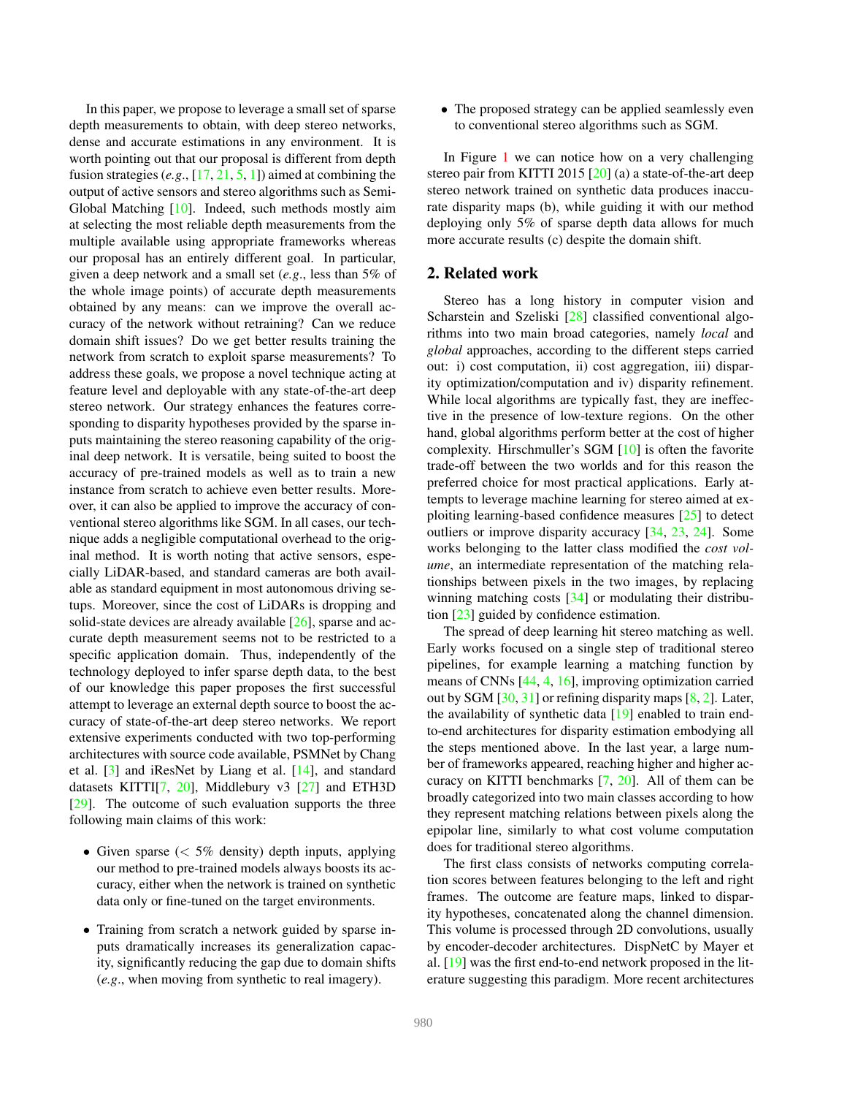In this paper, we propose to leverage a small set of sparse depth measurements to obtain, with deep stereo networks, dense and accurate estimations in any environment. It is worth pointing out that our proposal is different from depth fusion strategies (*e.g*., [17, 21, 5, 1]) aimed at combining the output of active sensors and stereo algorithms such as Semi-Global Matching [10]. Indeed, such methods mostly aim at selecting the most reliable depth measurements from the multiple available using appropriate frameworks whereas our proposal has an entirely different goal. In particular, given a deep network and a small set (*e.g*., less than 5% of the whole image points) of accurate depth measurements obtained by any means: can we improve the overall accuracy of the network without retraining? Can we reduce domain shift issues? Do we get better results training the network from scratch to exploit sparse measurements? To address these goals, we propose a novel technique acting at feature level and deployable with any state-of-the-art deep stereo network. Our strategy enhances the features corresponding to disparity hypotheses provided by the sparse inputs maintaining the stereo reasoning capability of the original deep network. It is versatile, being suited to boost the accuracy of pre-trained models as well as to train a new instance from scratch to achieve even better results. Moreover, it can also be applied to improve the accuracy of conventional stereo algorithms like SGM. In all cases, our technique adds a negligible computational overhead to the original method. It is worth noting that active sensors, especially LiDAR-based, and standard cameras are both available as standard equipment in most autonomous driving setups. Moreover, since the cost of LiDARs is dropping and solid-state devices are already available [26], sparse and accurate depth measurement seems not to be restricted to a specific application domain. Thus, independently of the technology deployed to infer sparse depth data, to the best of our knowledge this paper proposes the first successful attempt to leverage an external depth source to boost the accuracy of state-of-the-art deep stereo networks. We report extensive experiments conducted with two top-performing architectures with source code available, PSMNet by Chang et al. [3] and iResNet by Liang et al. [14], and standard datasets KITTI[7, 20], Middlebury v3 [27] and ETH3D [29]. The outcome of such evaluation supports the three following main claims of this work:

- Given sparse  $\langle \, 5\% \rangle$  density) depth inputs, applying our method to pre-trained models always boosts its accuracy, either when the network is trained on synthetic data only or fine-tuned on the target environments.
- Training from scratch a network guided by sparse inputs dramatically increases its generalization capacity, significantly reducing the gap due to domain shifts (*e.g*., when moving from synthetic to real imagery).

• The proposed strategy can be applied seamlessly even to conventional stereo algorithms such as SGM.

In Figure 1 we can notice how on a very challenging stereo pair from KITTI 2015 [20] (a) a state-of-the-art deep stereo network trained on synthetic data produces inaccurate disparity maps (b), while guiding it with our method deploying only 5% of sparse depth data allows for much more accurate results (c) despite the domain shift.

### 2. Related work

Stereo has a long history in computer vision and Scharstein and Szeliski [28] classified conventional algorithms into two main broad categories, namely *local* and *global* approaches, according to the different steps carried out: i) cost computation, ii) cost aggregation, iii) disparity optimization/computation and iv) disparity refinement. While local algorithms are typically fast, they are ineffective in the presence of low-texture regions. On the other hand, global algorithms perform better at the cost of higher complexity. Hirschmuller's SGM [10] is often the favorite trade-off between the two worlds and for this reason the preferred choice for most practical applications. Early attempts to leverage machine learning for stereo aimed at exploiting learning-based confidence measures [25] to detect outliers or improve disparity accuracy [34, 23, 24]. Some works belonging to the latter class modified the *cost volume*, an intermediate representation of the matching relationships between pixels in the two images, by replacing winning matching costs [34] or modulating their distribution [23] guided by confidence estimation.

The spread of deep learning hit stereo matching as well. Early works focused on a single step of traditional stereo pipelines, for example learning a matching function by means of CNNs [44, 4, 16], improving optimization carried out by SGM  $[30, 31]$  or refining disparity maps  $[8, 2]$ . Later, the availability of synthetic data [19] enabled to train endto-end architectures for disparity estimation embodying all the steps mentioned above. In the last year, a large number of frameworks appeared, reaching higher and higher accuracy on KITTI benchmarks [7, 20]. All of them can be broadly categorized into two main classes according to how they represent matching relations between pixels along the epipolar line, similarly to what cost volume computation does for traditional stereo algorithms.

The first class consists of networks computing correlation scores between features belonging to the left and right frames. The outcome are feature maps, linked to disparity hypotheses, concatenated along the channel dimension. This volume is processed through 2D convolutions, usually by encoder-decoder architectures. DispNetC by Mayer et al. [19] was the first end-to-end network proposed in the literature suggesting this paradigm. More recent architectures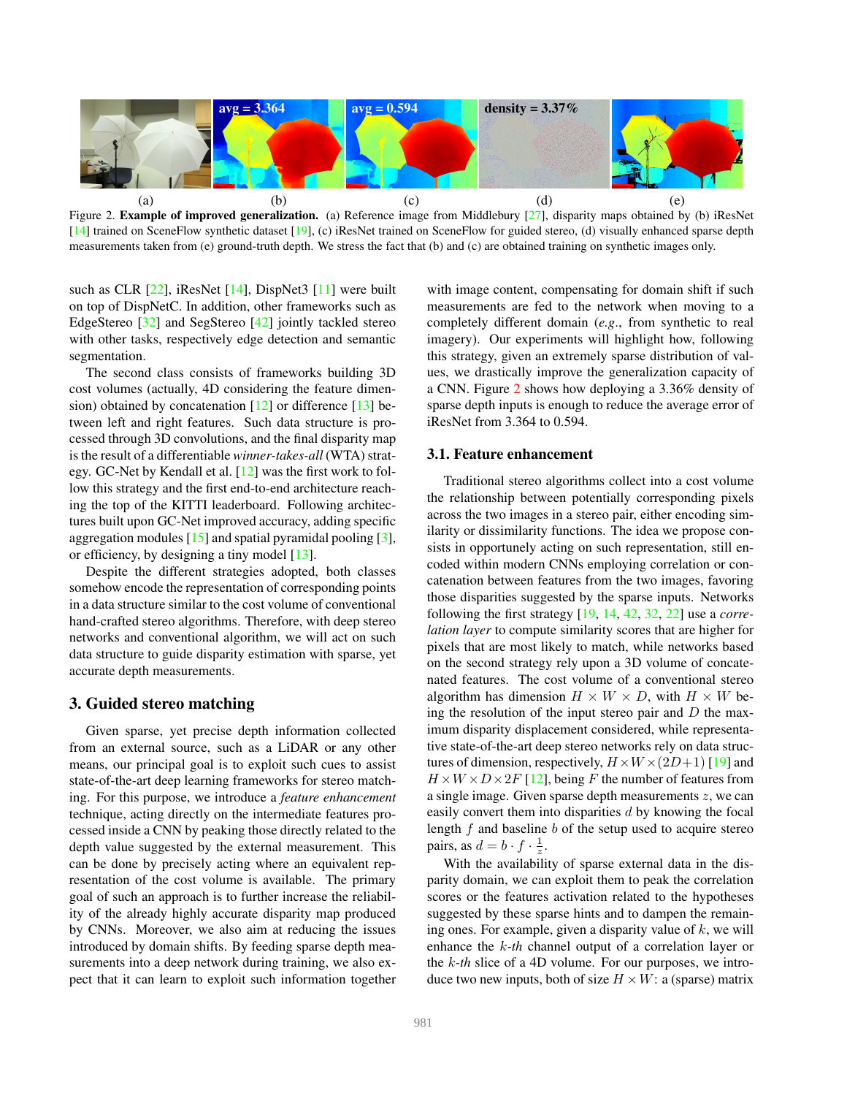

Figure 2. **Example of improved generalization.** (a) Reference image from Middlebury  $[27]$ , disparity maps obtained by (b) iResNet  $[14]$  trained on SceneFlow synthetic dataset  $[19]$ , (c) iResNet trained on SceneFlow for guided stereo, (d) visually enhanced sparse depth measurements taken from (e) ground-truth depth. We stress the fact that (b) and (c) are obtained training on synthetic images only.

such as CLR [22], iResNet [14], DispNet3 [11] were built on top of DispNetC. In addition, other frameworks such as EdgeStereo [32] and SegStereo [42] jointly tackled stereo with other tasks, respectively edge detection and semantic segmentation.

The second class consists of frameworks building 3D cost volumes (actually, 4D considering the feature dimension) obtained by concatenation [12] or difference [13] between left and right features. Such data structure is processed through 3D convolutions, and the final disparity map is the result of a differentiable *winner-takes-all* (WTA) strategy. GC-Net by Kendall et al. [12] was the first work to follow this strategy and the first end-to-end architecture reaching the top of the KITTI leaderboard. Following architectures built upon GC-Net improved accuracy, adding specific aggregation modules [15] and spatial pyramidal pooling [3], or efficiency, by designing a tiny model [13].

Despite the different strategies adopted, both classes somehow encode the representation of corresponding points in a data structure similar to the cost volume of conventional hand-crafted stereo algorithms. Therefore, with deep stereo networks and conventional algorithm, we will act on such data structure to guide disparity estimation with sparse, yet accurate depth measurements.

#### 3. Guided stereo matching

Given sparse, yet precise depth information collected from an external source, such as a LiDAR or any other means, our principal goal is to exploit such cues to assist state-of-the-art deep learning frameworks for stereo matching. For this purpose, we introduce a *feature enhancement* technique, acting directly on the intermediate features processed inside a CNN by peaking those directly related to the depth value suggested by the external measurement. This can be done by precisely acting where an equivalent representation of the cost volume is available. The primary goal of such an approach is to further increase the reliability of the already highly accurate disparity map produced by CNNs. Moreover, we also aim at reducing the issues introduced by domain shifts. By feeding sparse depth measurements into a deep network during training, we also expect that it can learn to exploit such information together with image content, compensating for domain shift if such measurements are fed to the network when moving to a completely different domain (*e.g*., from synthetic to real imagery). Our experiments will highlight how, following this strategy, given an extremely sparse distribution of values, we drastically improve the generalization capacity of a CNN. Figure 2 shows how deploying a 3.36% density of sparse depth inputs is enough to reduce the average error of iResNet from 3.364 to 0.594.

### 3.1. Feature enhancement

Traditional stereo algorithms collect into a cost volume the relationship between potentially corresponding pixels across the two images in a stereo pair, either encoding similarity or dissimilarity functions. The idea we propose consists in opportunely acting on such representation, still encoded within modern CNNs employing correlation or concatenation between features from the two images, favoring those disparities suggested by the sparse inputs. Networks following the first strategy [19, 14, 42, 32, 22] use a *correlation layer* to compute similarity scores that are higher for pixels that are most likely to match, while networks based on the second strategy rely upon a 3D volume of concatenated features. The cost volume of a conventional stereo algorithm has dimension  $H \times W \times D$ , with  $H \times W$  being the resolution of the input stereo pair and  $D$  the maximum disparity displacement considered, while representative state-of-the-art deep stereo networks rely on data structures of dimension, respectively,  $H \times W \times (2D+1)$  [19] and  $H \times W \times D \times 2F$  [12], being F the number of features from a single image. Given sparse depth measurements z, we can easily convert them into disparities  $d$  by knowing the focal length  $f$  and baseline  $b$  of the setup used to acquire stereo pairs, as  $d = b \cdot f \cdot \frac{1}{z}$  $\frac{1}{z}$ .

With the availability of sparse external data in the disparity domain, we can exploit them to peak the correlation scores or the features activation related to the hypotheses suggested by these sparse hints and to dampen the remaining ones. For example, given a disparity value of  $k$ , we will enhance the k*-th* channel output of a correlation layer or the k*-th* slice of a 4D volume. For our purposes, we introduce two new inputs, both of size  $H \times W$ : a (sparse) matrix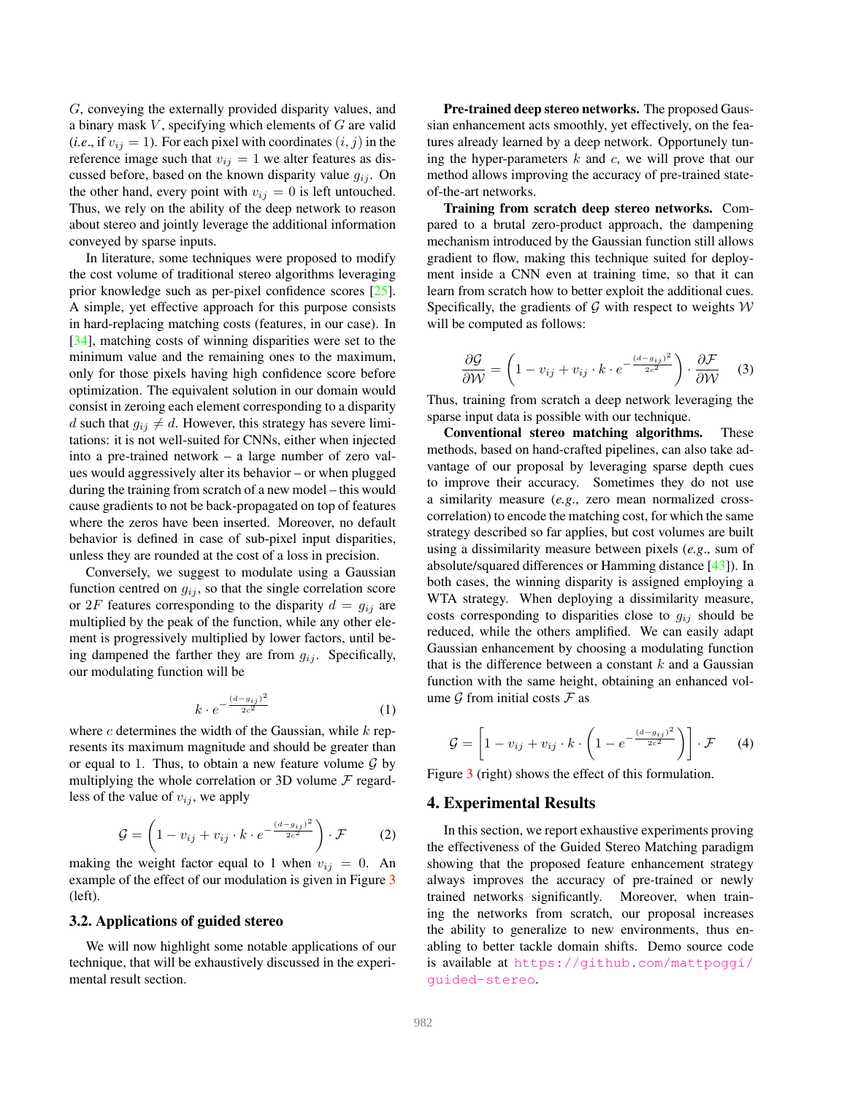G, conveying the externally provided disparity values, and a binary mask  $V$ , specifying which elements of  $G$  are valid (*i.e.*, if  $v_{ij} = 1$ ). For each pixel with coordinates  $(i, j)$  in the reference image such that  $v_{ij} = 1$  we alter features as discussed before, based on the known disparity value  $g_{ij}$ . On the other hand, every point with  $v_{ij} = 0$  is left untouched. Thus, we rely on the ability of the deep network to reason about stereo and jointly leverage the additional information conveyed by sparse inputs.

In literature, some techniques were proposed to modify the cost volume of traditional stereo algorithms leveraging prior knowledge such as per-pixel confidence scores [25]. A simple, yet effective approach for this purpose consists in hard-replacing matching costs (features, in our case). In [34], matching costs of winning disparities were set to the minimum value and the remaining ones to the maximum, only for those pixels having high confidence score before optimization. The equivalent solution in our domain would consist in zeroing each element corresponding to a disparity d such that  $g_{ij} \neq d$ . However, this strategy has severe limitations: it is not well-suited for CNNs, either when injected into a pre-trained network – a large number of zero values would aggressively alter its behavior – or when plugged during the training from scratch of a new model – this would cause gradients to not be back-propagated on top of features where the zeros have been inserted. Moreover, no default behavior is defined in case of sub-pixel input disparities, unless they are rounded at the cost of a loss in precision.

Conversely, we suggest to modulate using a Gaussian function centred on  $g_{ij}$ , so that the single correlation score or 2F features corresponding to the disparity  $d = g_{ij}$  are multiplied by the peak of the function, while any other element is progressively multiplied by lower factors, until being dampened the farther they are from  $q_{ij}$ . Specifically, our modulating function will be

$$
k \cdot e^{-\frac{(d-g_{ij})^2}{2c^2}} \tag{1}
$$

where  $c$  determines the width of the Gaussian, while  $k$  represents its maximum magnitude and should be greater than or equal to 1. Thus, to obtain a new feature volume  $\mathcal G$  by multiplying the whole correlation or 3D volume  $\mathcal F$  regardless of the value of  $v_{ij}$ , we apply

$$
\mathcal{G} = \left(1 - v_{ij} + v_{ij} \cdot k \cdot e^{-\frac{(d - g_{ij})^2}{2c^2}}\right) \cdot \mathcal{F}
$$
 (2)

making the weight factor equal to 1 when  $v_{ij} = 0$ . An example of the effect of our modulation is given in Figure 3 (left).

### 3.2. Applications of guided stereo

We will now highlight some notable applications of our technique, that will be exhaustively discussed in the experimental result section.

Pre-trained deep stereo networks. The proposed Gaussian enhancement acts smoothly, yet effectively, on the features already learned by a deep network. Opportunely tuning the hyper-parameters  $k$  and  $c$ , we will prove that our method allows improving the accuracy of pre-trained stateof-the-art networks.

Training from scratch deep stereo networks. Compared to a brutal zero-product approach, the dampening mechanism introduced by the Gaussian function still allows gradient to flow, making this technique suited for deployment inside a CNN even at training time, so that it can learn from scratch how to better exploit the additional cues. Specifically, the gradients of  $G$  with respect to weights  $W$ will be computed as follows:

$$
\frac{\partial \mathcal{G}}{\partial \mathcal{W}} = \left(1 - v_{ij} + v_{ij} \cdot k \cdot e^{-\frac{(d - g_{ij})^2}{2c^2}}\right) \cdot \frac{\partial \mathcal{F}}{\partial \mathcal{W}} \tag{3}
$$

Thus, training from scratch a deep network leveraging the sparse input data is possible with our technique.

Conventional stereo matching algorithms. These methods, based on hand-crafted pipelines, can also take advantage of our proposal by leveraging sparse depth cues to improve their accuracy. Sometimes they do not use a similarity measure (*e.g*., zero mean normalized crosscorrelation) to encode the matching cost, for which the same strategy described so far applies, but cost volumes are built using a dissimilarity measure between pixels (*e.g*., sum of absolute/squared differences or Hamming distance [43]). In both cases, the winning disparity is assigned employing a WTA strategy. When deploying a dissimilarity measure, costs corresponding to disparities close to  $g_{ij}$  should be reduced, while the others amplified. We can easily adapt Gaussian enhancement by choosing a modulating function that is the difference between a constant  $k$  and a Gaussian function with the same height, obtaining an enhanced volume  $\mathcal G$  from initial costs  $\mathcal F$  as

$$
\mathcal{G} = \left[1 - v_{ij} + v_{ij} \cdot k \cdot \left(1 - e^{-\frac{(d - g_{ij})^2}{2c^2}}\right)\right] \cdot \mathcal{F} \qquad (4)
$$

Figure 3 (right) shows the effect of this formulation.

#### 4. Experimental Results

In this section, we report exhaustive experiments proving the effectiveness of the Guided Stereo Matching paradigm showing that the proposed feature enhancement strategy always improves the accuracy of pre-trained or newly trained networks significantly. Moreover, when training the networks from scratch, our proposal increases the ability to generalize to new environments, thus enabling to better tackle domain shifts. Demo source code is available at https://github.com/mattpoggi/ guided-stereo.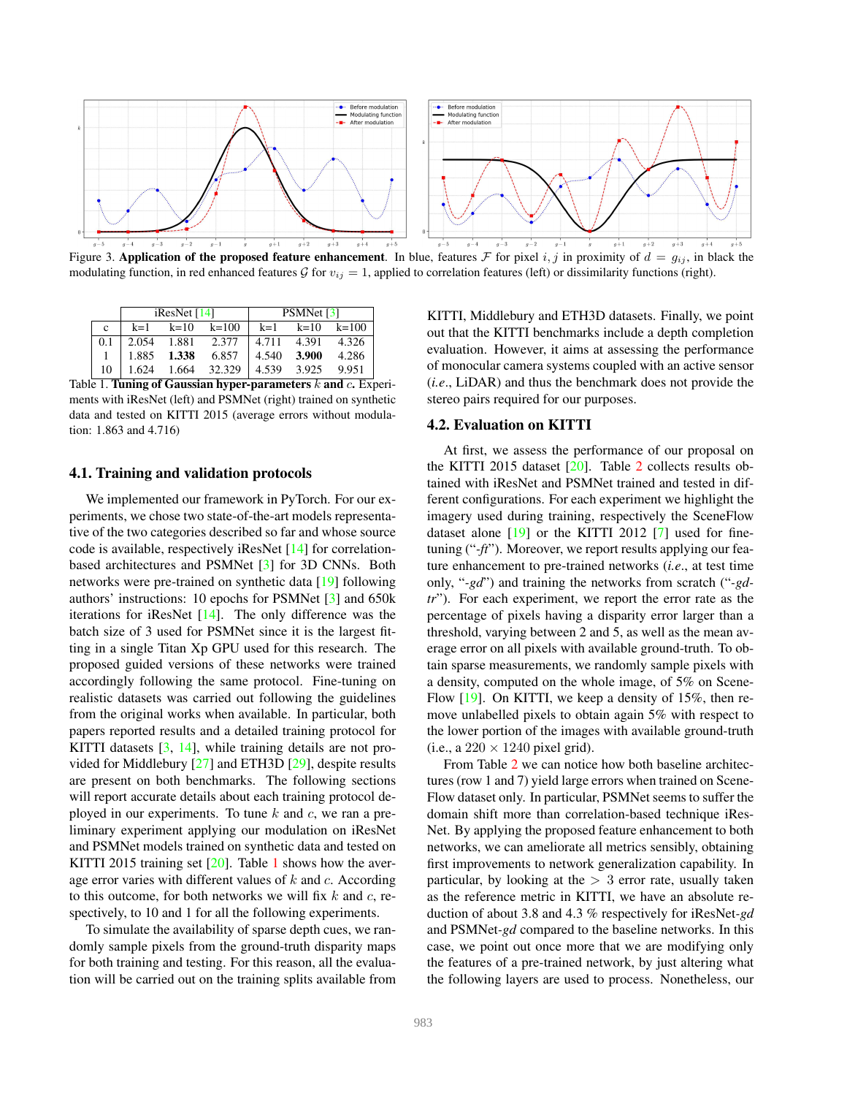

Figure 3. Application of the proposed feature enhancement. In blue, features F for pixel i, j in proximity of  $d = g_{ij}$ , in black the modulating function, in red enhanced features  $\mathcal G$  for  $v_{ij} = 1$ , applied to correlation features (left) or dissimilarity functions (right).

| $k=1$<br>$k=10$ $k=100$<br>$k=10$ $k=100$<br>$k=1$<br>$\mathbf{c}$<br>2.054 1.881<br>4.711 4.391<br>2.377<br>0.1<br>6.857<br>1.885 1.338<br>4.540 3.900<br>1.624 1.664 32.329<br>4.539 3.925<br>10<br>9.951 |  | $i$ ResNet [14] | <b>PSMNet</b> [3] |  |       |  |
|-------------------------------------------------------------------------------------------------------------------------------------------------------------------------------------------------------------|--|-----------------|-------------------|--|-------|--|
|                                                                                                                                                                                                             |  |                 |                   |  |       |  |
|                                                                                                                                                                                                             |  |                 |                   |  | 4.326 |  |
|                                                                                                                                                                                                             |  |                 |                   |  | 4.286 |  |
|                                                                                                                                                                                                             |  |                 |                   |  |       |  |

Table 1. Tuning of Gaussian hyper-parameters  $k$  and  $c$ . Experiments with iResNet (left) and PSMNet (right) trained on synthetic data and tested on KITTI 2015 (average errors without modulation: 1.863 and 4.716)

#### 4.1. Training and validation protocols

We implemented our framework in PyTorch. For our experiments, we chose two state-of-the-art models representative of the two categories described so far and whose source code is available, respectively iResNet [14] for correlationbased architectures and PSMNet [3] for 3D CNNs. Both networks were pre-trained on synthetic data [19] following authors' instructions: 10 epochs for PSMNet [3] and 650k iterations for iResNet [14]. The only difference was the batch size of 3 used for PSMNet since it is the largest fitting in a single Titan Xp GPU used for this research. The proposed guided versions of these networks were trained accordingly following the same protocol. Fine-tuning on realistic datasets was carried out following the guidelines from the original works when available. In particular, both papers reported results and a detailed training protocol for KITTI datasets [3, 14], while training details are not provided for Middlebury [27] and ETH3D [29], despite results are present on both benchmarks. The following sections will report accurate details about each training protocol deployed in our experiments. To tune  $k$  and  $c$ , we ran a preliminary experiment applying our modulation on iResNet and PSMNet models trained on synthetic data and tested on KITTI 2015 training set [20]. Table 1 shows how the average error varies with different values of  $k$  and  $c$ . According to this outcome, for both networks we will fix  $k$  and  $c$ , respectively, to 10 and 1 for all the following experiments.

To simulate the availability of sparse depth cues, we randomly sample pixels from the ground-truth disparity maps for both training and testing. For this reason, all the evaluation will be carried out on the training splits available from KITTI, Middlebury and ETH3D datasets. Finally, we point out that the KITTI benchmarks include a depth completion evaluation. However, it aims at assessing the performance of monocular camera systems coupled with an active sensor (*i.e*., LiDAR) and thus the benchmark does not provide the stereo pairs required for our purposes.

#### 4.2. Evaluation on KITTI

At first, we assess the performance of our proposal on the KITTI 2015 dataset [20]. Table 2 collects results obtained with iResNet and PSMNet trained and tested in different configurations. For each experiment we highlight the imagery used during training, respectively the SceneFlow dataset alone  $[19]$  or the KITTI 2012  $[7]$  used for finetuning ("*-ft*"). Moreover, we report results applying our feature enhancement to pre-trained networks (*i.e*., at test time only, "*-gd*") and training the networks from scratch ("*-gdtr*"). For each experiment, we report the error rate as the percentage of pixels having a disparity error larger than a threshold, varying between 2 and 5, as well as the mean average error on all pixels with available ground-truth. To obtain sparse measurements, we randomly sample pixels with a density, computed on the whole image, of 5% on Scene-Flow [19]. On KITTI, we keep a density of 15%, then remove unlabelled pixels to obtain again 5% with respect to the lower portion of the images with available ground-truth (i.e., a  $220 \times 1240$  pixel grid).

From Table 2 we can notice how both baseline architectures (row 1 and 7) yield large errors when trained on Scene-Flow dataset only. In particular, PSMNet seems to suffer the domain shift more than correlation-based technique iRes-Net. By applying the proposed feature enhancement to both networks, we can ameliorate all metrics sensibly, obtaining first improvements to network generalization capability. In particular, by looking at the  $> 3$  error rate, usually taken as the reference metric in KITTI, we have an absolute reduction of about 3.8 and 4.3 % respectively for iResNet*-gd* and PSMNet*-gd* compared to the baseline networks. In this case, we point out once more that we are modifying only the features of a pre-trained network, by just altering what the following layers are used to process. Nonetheless, our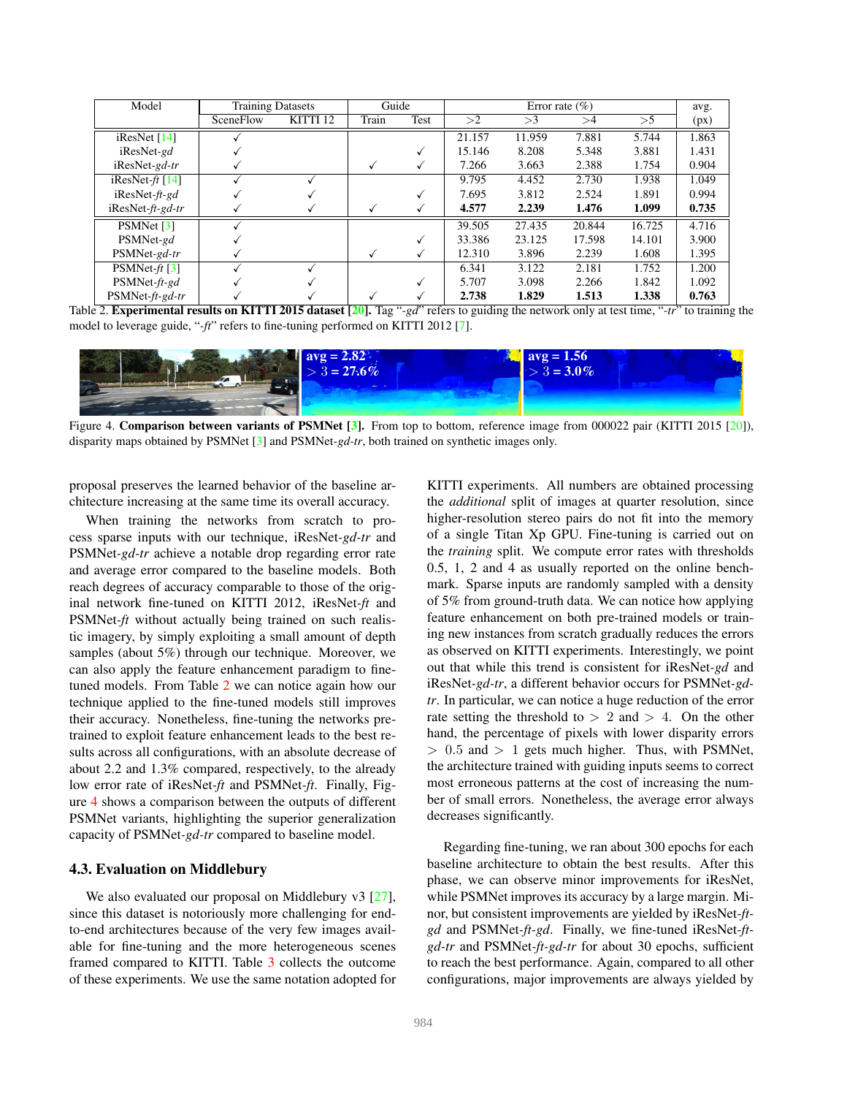| Model                   |           | <b>Training Datasets</b> |       | Guide |        | Error rate $(\% )$ |        |        |       |
|-------------------------|-----------|--------------------------|-------|-------|--------|--------------------|--------|--------|-------|
|                         | SceneFlow | KITTI 12                 | Train | Test  | >2     | >3                 | >4     | >5     | (px)  |
| iResNet $[14]$          |           |                          |       |       | 21.157 | 11.959             | 7.881  | 5.744  | 1.863 |
| iResNet-gd              |           |                          |       |       | 15.146 | 8.208              | 5.348  | 3.881  | 1.431 |
| $i$ ResNet-gd-tr        |           |                          |       |       | 7.266  | 3.663              | 2.388  | 1.754  | 0.904 |
| iResNet- $ft$ [14]      |           |                          |       |       | 9.795  | 4.452              | 2.730  | 1.938  | 1.049 |
| $i$ ResNet- $ft$ -gd    |           |                          |       |       | 7.695  | 3.812              | 2.524  | 1.891  | 0.994 |
| $i$ ResNet- $ft$ -gd-tr |           |                          |       |       | 4.577  | 2.239              | 1.476  | 1.099  | 0.735 |
| PSMNet [3]              |           |                          |       |       | 39.505 | 27.435             | 20.844 | 16.725 | 4.716 |
| PSMNet-gd               |           |                          |       |       | 33.386 | 23.125             | 17.598 | 14.101 | 3.900 |
| PSMNet-gd-tr            |           |                          |       |       | 12.310 | 3.896              | 2.239  | 1.608  | 1.395 |
| PSMNet- $ft$ [3]        |           |                          |       |       | 6.341  | 3.122              | 2.181  | 1.752  | 1.200 |
| $PSMNet-ft-gd$          |           |                          |       |       | 5.707  | 3.098              | 2.266  | 1.842  | 1.092 |
| $PSMNet-ft-gd-tr$       |           |                          |       |       | 2.738  | 1.829              | 1.513  | 1.338  | 0.763 |

Table 2. Experimental results on KITTI 2015 dataset [20]. Tag "*-gd*" refers to guiding the network only at test time, "*-tr*" to training the model to leverage guide, "*-ft*" refers to fine-tuning performed on KITTI 2012 [7].



Figure 4. Comparison between variants of PSMNet [3]. From top to bottom, reference image from 000022 pair (KITTI 2015 [20]), disparity maps obtained by PSMNet [3] and PSMNet*-gd-tr*, both trained on synthetic images only.

proposal preserves the learned behavior of the baseline architecture increasing at the same time its overall accuracy.

When training the networks from scratch to process sparse inputs with our technique, iResNet*-gd-tr* and PSMNet*-gd-tr* achieve a notable drop regarding error rate and average error compared to the baseline models. Both reach degrees of accuracy comparable to those of the original network fine-tuned on KITTI 2012, iResNet*-ft* and PSMNet*-ft* without actually being trained on such realistic imagery, by simply exploiting a small amount of depth samples (about 5%) through our technique. Moreover, we can also apply the feature enhancement paradigm to finetuned models. From Table 2 we can notice again how our technique applied to the fine-tuned models still improves their accuracy. Nonetheless, fine-tuning the networks pretrained to exploit feature enhancement leads to the best results across all configurations, with an absolute decrease of about 2.2 and 1.3% compared, respectively, to the already low error rate of iResNet*-ft* and PSMNet*-ft*. Finally, Figure 4 shows a comparison between the outputs of different PSMNet variants, highlighting the superior generalization capacity of PSMNet*-gd-tr* compared to baseline model.

#### 4.3. Evaluation on Middlebury

We also evaluated our proposal on Middlebury v3 [27], since this dataset is notoriously more challenging for endto-end architectures because of the very few images available for fine-tuning and the more heterogeneous scenes framed compared to KITTI. Table 3 collects the outcome of these experiments. We use the same notation adopted for KITTI experiments. All numbers are obtained processing the *additional* split of images at quarter resolution, since higher-resolution stereo pairs do not fit into the memory of a single Titan Xp GPU. Fine-tuning is carried out on the *training* split. We compute error rates with thresholds 0.5, 1, 2 and 4 as usually reported on the online benchmark. Sparse inputs are randomly sampled with a density of 5% from ground-truth data. We can notice how applying feature enhancement on both pre-trained models or training new instances from scratch gradually reduces the errors as observed on KITTI experiments. Interestingly, we point out that while this trend is consistent for iResNet*-gd* and iResNet*-gd-tr*, a different behavior occurs for PSMNet*-gdtr*. In particular, we can notice a huge reduction of the error rate setting the threshold to  $> 2$  and  $> 4$ . On the other hand, the percentage of pixels with lower disparity errors  $> 0.5$  and  $> 1$  gets much higher. Thus, with PSMNet, the architecture trained with guiding inputs seems to correct most erroneous patterns at the cost of increasing the number of small errors. Nonetheless, the average error always decreases significantly.

Regarding fine-tuning, we ran about 300 epochs for each baseline architecture to obtain the best results. After this phase, we can observe minor improvements for iResNet, while PSMNet improves its accuracy by a large margin. Minor, but consistent improvements are yielded by iResNet*-ftgd* and PSMNet*-ft-gd*. Finally, we fine-tuned iResNet*-ftgd-tr* and PSMNet*-ft-gd-tr* for about 30 epochs, sufficient to reach the best performance. Again, compared to all other configurations, major improvements are always yielded by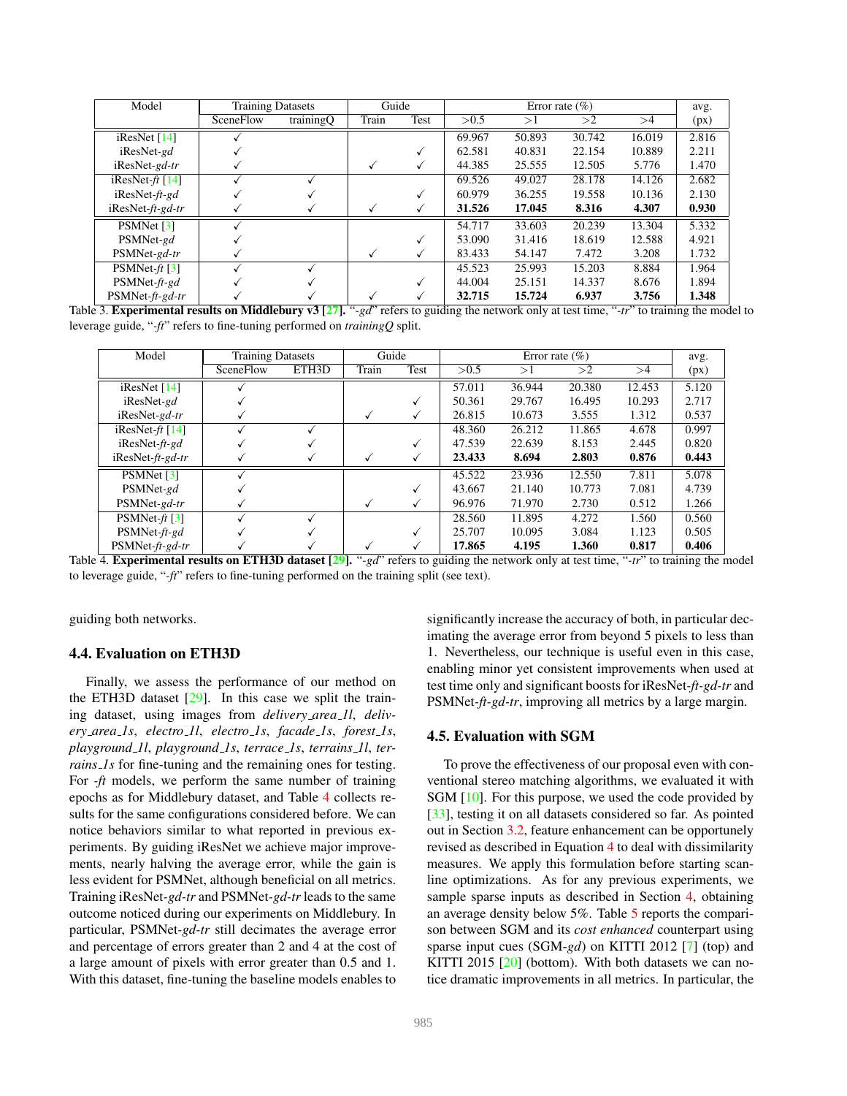| Model                   |           | <b>Training Datasets</b> |       | Guide |        | Error rate $(\% )$ |        |        |       |
|-------------------------|-----------|--------------------------|-------|-------|--------|--------------------|--------|--------|-------|
|                         | SceneFlow | trainingQ                | Train | Test  | > 0.5  | >1                 | >2     | >4     | (px)  |
| iResNet $[14]$          |           |                          |       |       | 69.967 | 50.893             | 30.742 | 16.019 | 2.816 |
| $i$ ResNet-gd           |           |                          |       |       | 62.581 | 40.831             | 22.154 | 10.889 | 2.211 |
| $i$ ResNet-gd-tr        |           |                          |       | V     | 44.385 | 25.555             | 12.505 | 5.776  | 1.470 |
| iResNet- $ft$ [14]      |           |                          |       |       | 69.526 | 49.027             | 28.178 | 14.126 | 2.682 |
| $i$ ResNet- $ft$ -gd    |           |                          |       |       | 60.979 | 36.255             | 19.558 | 10.136 | 2.130 |
| $i$ ResNet- $ft$ -gd-tr |           |                          |       |       | 31.526 | 17.045             | 8.316  | 4.307  | 0.930 |
| PSMNet [3]              |           |                          |       |       | 54.717 | 33.603             | 20.239 | 13.304 | 5.332 |
| PSMNet-gd               |           |                          |       |       | 53.090 | 31.416             | 18.619 | 12.588 | 4.921 |
| PSMNet-gd-tr            |           |                          |       | √     | 83.433 | 54.147             | 7.472  | 3.208  | 1.732 |
| PSMNet- $ft$ [3]        |           |                          |       |       | 45.523 | 25.993             | 15.203 | 8.884  | 1.964 |
| $PSMNet-ft-gd$          |           |                          |       |       | 44.004 | 25.151             | 14.337 | 8.676  | 1.894 |
| $PSMNet-ft-gd-tr$       |           |                          |       |       | 32.715 | 15.724             | 6.937  | 3.756  | 1.348 |

Table 3. **Experimental results on Middlebury v3** [27]. "*-gd*" refers to guiding the network only at test time, "*-tr*" to training the model to leverage guide, "*-ft*" refers to fine-tuning performed on *trainingQ* split.

| Model                       | <b>Training Datasets</b> |       | Guide |      | Error rate $(\% )$ |        |        |        | avg.  |
|-----------------------------|--------------------------|-------|-------|------|--------------------|--------|--------|--------|-------|
|                             | SceneFlow                | ETH3D | Train | Test | > 0.5              | >1     | >2     | >4     | (px)  |
| iResNet $[14]$              |                          |       |       |      | 57.011             | 36.944 | 20.380 | 12.453 | 5.120 |
| iResNet-gd                  |                          |       |       |      | 50.361             | 29.767 | 16.495 | 10.293 | 2.717 |
| iResNet-gd-tr               |                          |       |       |      | 26.815             | 10.673 | 3.555  | 1.312  | 0.537 |
| iResNet- $ft$ [14]          |                          |       |       |      | 48.360             | 26.212 | 11.865 | 4.678  | 0.997 |
| $i$ ResNet- $ft$ -gd        |                          |       |       |      | 47.539             | 22.639 | 8.153  | 2.445  | 0.820 |
| $i$ ResNet- <i>ft-gd-tr</i> |                          |       |       |      | 23.433             | 8.694  | 2.803  | 0.876  | 0.443 |
| PSMNet [3]                  |                          |       |       |      | 45.522             | 23.936 | 12.550 | 7.811  | 5.078 |
| PSMNet-gd                   |                          |       |       |      | 43.667             | 21.140 | 10.773 | 7.081  | 4.739 |
| PSMNet-gd-tr                |                          |       |       |      | 96.976             | 71.970 | 2.730  | 0.512  | 1.266 |
| PSMNet- $ft$ [3]            |                          |       |       |      | 28.560             | 11.895 | 4.272  | 1.560  | 0.560 |
| $PSMNet-ft-gd$              |                          |       |       |      | 25.707             | 10.095 | 3.084  | 1.123  | 0.505 |
| PSMNet-ft-gd-tr             |                          |       |       |      | 17.865             | 4.195  | 1.360  | 0.817  | 0.406 |

Table 4. Experimental results on ETH3D dataset [29]. "*-gd*" refers to guiding the network only at test time, "*-tr*" to training the model to leverage guide, "*-ft*" refers to fine-tuning performed on the training split (see text).

guiding both networks.

### 4.4. Evaluation on ETH3D

Finally, we assess the performance of our method on the ETH3D dataset [29]. In this case we split the training dataset, using images from *delivery area 1l*, *delivery area 1s*, *electro 1l*, *electro 1s*, *facade 1s*, *forest 1s*, *playground 1l*, *playground 1s*, *terrace 1s*, *terrains 1l*, *terrains 1s* for fine-tuning and the remaining ones for testing. For *-ft* models, we perform the same number of training epochs as for Middlebury dataset, and Table 4 collects results for the same configurations considered before. We can notice behaviors similar to what reported in previous experiments. By guiding iResNet we achieve major improvements, nearly halving the average error, while the gain is less evident for PSMNet, although beneficial on all metrics. Training iResNet*-gd-tr* and PSMNet*-gd-tr* leads to the same outcome noticed during our experiments on Middlebury. In particular, PSMNet*-gd-tr* still decimates the average error and percentage of errors greater than 2 and 4 at the cost of a large amount of pixels with error greater than 0.5 and 1. With this dataset, fine-tuning the baseline models enables to

ventional stereo matching algorithms, we evaluated it with SGM [10]. For this purpose, we used the code provided by [33], testing it on all datasets considered so far. As pointed out in Section 3.2, feature enhancement can be opportunely

4.5. Evaluation with SGM

revised as described in Equation 4 to deal with dissimilarity measures. We apply this formulation before starting scanline optimizations. As for any previous experiments, we sample sparse inputs as described in Section 4, obtaining an average density below 5%. Table 5 reports the comparison between SGM and its *cost enhanced* counterpart using sparse input cues (SGM-*gd*) on KITTI 2012 [7] (top) and KITTI 2015 [20] (bottom). With both datasets we can notice dramatic improvements in all metrics. In particular, the

To prove the effectiveness of our proposal even with con-

significantly increase the accuracy of both, in particular decimating the average error from beyond 5 pixels to less than 1. Nevertheless, our technique is useful even in this case, enabling minor yet consistent improvements when used at test time only and significant boosts for iResNet*-ft-gd-tr* and PSMNet*-ft-gd-tr*, improving all metrics by a large margin.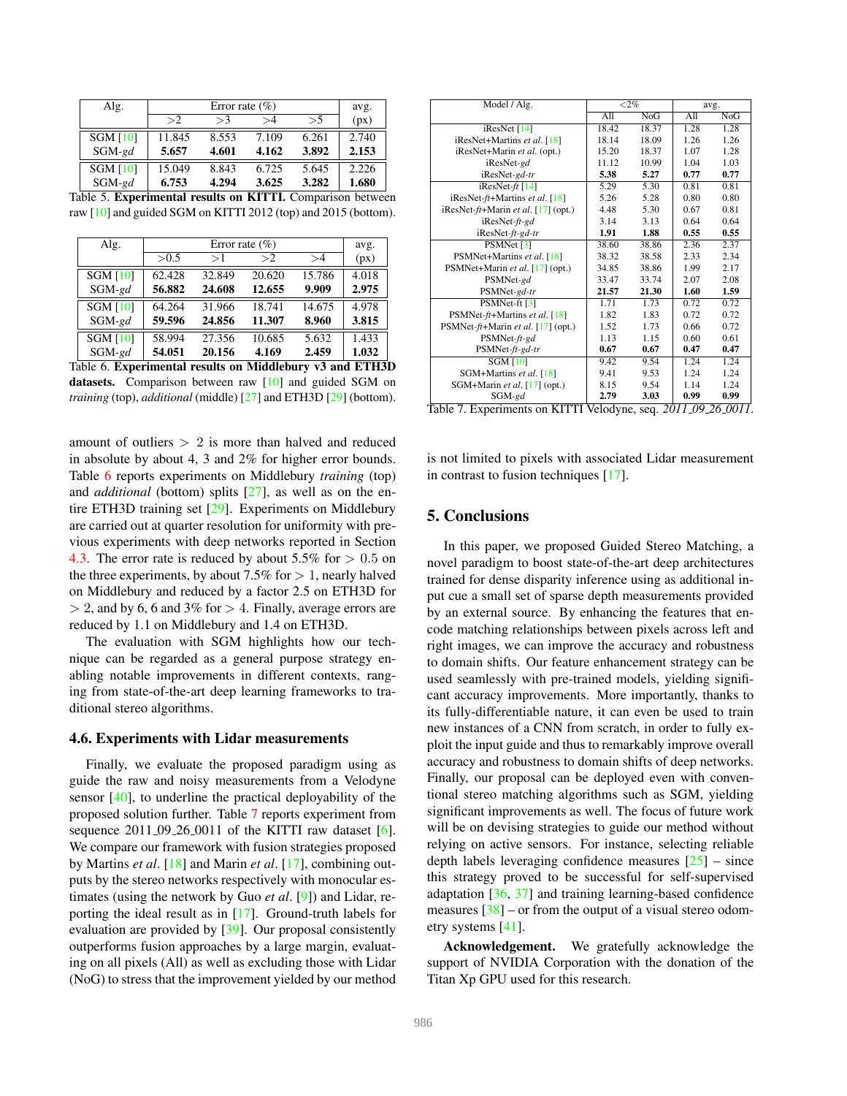| Alg.            |        | Error rate $(\% )$ |       |       |       |  |  |  |  |  |
|-----------------|--------|--------------------|-------|-------|-------|--|--|--|--|--|
|                 | >2     | >3                 | >4    | >5    | (px)  |  |  |  |  |  |
| <b>SGM [10]</b> | 11.845 | 8.553              | 7.109 | 6.261 | 2.740 |  |  |  |  |  |
| $SGM$ -gd       | 5.657  | 4.601              | 4.162 | 3.892 | 2.153 |  |  |  |  |  |
| <b>SGM [10]</b> | 15.049 | 8.843              | 6.725 | 5.645 | 2.226 |  |  |  |  |  |
| $SGM$ -gd       | 6.753  | 4.294              | 3.625 | 3.282 | 1.680 |  |  |  |  |  |

| Table 5. Experimental results on KITTI. Comparison between     |  |  |
|----------------------------------------------------------------|--|--|
| raw [10] and guided SGM on KITTI 2012 (top) and 2015 (bottom). |  |  |

| Alg.                                                     |        | Error rate $(\% )$ |        |        |       |  |  |  |  |
|----------------------------------------------------------|--------|--------------------|--------|--------|-------|--|--|--|--|
|                                                          | > 0.5  | >1                 | >2     | >4     | (px)  |  |  |  |  |
| <b>SGM [10]</b>                                          | 62.428 | 32.849             | 20.620 | 15.786 | 4.018 |  |  |  |  |
| $SGM$ -gd                                                | 56.882 | 24.608             | 12.655 | 9.909  | 2.975 |  |  |  |  |
| <b>SGM [10]</b>                                          | 64.264 | 31.966             | 18.741 | 14.675 | 4.978 |  |  |  |  |
| $SGM$ -gd                                                | 59.596 | 24.856             | 11.307 | 8.960  | 3.815 |  |  |  |  |
| <b>SGM [10]</b>                                          | 58.994 | 27.356             | 10.685 | 5.632  | 1.433 |  |  |  |  |
| $SGM$ -gd                                                | 54.051 | 20.156             | 4.169  | 2.459  | 1.032 |  |  |  |  |
| Table 6. Experimental results on Middlebury v3 and ETH3D |        |                    |        |        |       |  |  |  |  |

datasets. Comparison between raw [10] and guided SGM on *training* (top), *additional* (middle) [27] and ETH3D [29] (bottom).

amount of outliers  $> 2$  is more than halved and reduced in absolute by about 4, 3 and 2% for higher error bounds. Table 6 reports experiments on Middlebury *training* (top) and *additional* (bottom) splits [27], as well as on the entire ETH3D training set [29]. Experiments on Middlebury are carried out at quarter resolution for uniformity with previous experiments with deep networks reported in Section 4.3. The error rate is reduced by about  $5.5\%$  for  $> 0.5$  on the three experiments, by about 7.5% for  $> 1$ , nearly halved on Middlebury and reduced by a factor 2.5 on ETH3D for  $> 2$ , and by 6, 6 and 3% for  $> 4$ . Finally, average errors are reduced by 1.1 on Middlebury and 1.4 on ETH3D.

The evaluation with SGM highlights how our technique can be regarded as a general purpose strategy enabling notable improvements in different contexts, ranging from state-of-the-art deep learning frameworks to traditional stereo algorithms.

### 4.6. Experiments with Lidar measurements

Finally, we evaluate the proposed paradigm using as guide the raw and noisy measurements from a Velodyne sensor [40], to underline the practical deployability of the proposed solution further. Table 7 reports experiment from sequence  $2011.09.26.0011$  of the KITTI raw dataset [6]. We compare our framework with fusion strategies proposed by Martins *et al*. [18] and Marin *et al*. [17], combining outputs by the stereo networks respectively with monocular estimates (using the network by Guo *et al*. [9]) and Lidar, reporting the ideal result as in [17]. Ground-truth labels for evaluation are provided by [39]. Our proposal consistently outperforms fusion approaches by a large margin, evaluating on all pixels (All) as well as excluding those with Lidar (NoG) to stress that the improvement yielded by our method

| Model / Alg.                            | ${<}2\%$ |       | avg.                  |              |
|-----------------------------------------|----------|-------|-----------------------|--------------|
|                                         | A11      | NoG   | A11                   | NoG          |
| $i$ ResNet [14]                         | 18.42    | 18.37 | 1.28                  | 1.28         |
| iResNet+Martins et al. [18]             | 18.14    | 18.09 | 1.26                  | 1.26         |
| iResNet+Marin et al. (opt.)             | 15.20    | 18.37 | 1.07                  | 1.28         |
| iResNet-gd                              | 11.12    | 10.99 | 1.04                  | 1.03         |
| iResNet-gd-tr                           | 5.38     | 5.27  | 0.77                  | 0.77         |
| iResNet- $ft$ [14]                      | 5.29     | 5.30  | 0.81                  | 0.81         |
| iResNet- $ft$ +Martins et al. [18]      | 5.26     | 5.28  | 0.80                  | 0.80         |
| iResNet- $ft$ +Marin et al. [17] (opt.) | 4.48     | 5.30  | 0.67                  | 0.81         |
| iResNet-ft-gd                           | 3.14     | 3.13  | 0.64                  | 0.64         |
| iResNet-ft-gd-tr                        | 1.91     | 1.88  | 0.55                  | 0.55         |
| PSMNet [3]                              | 38.60    | 38.86 | 2.36                  | 2.37         |
| PSMNet+Martins et al. [18]              | 38.32    | 38.58 | 2.33                  | 2.34         |
| PSMNet+Marin et al. [17] (opt.)         | 34.85    | 38.86 | 1.99                  | 2.17         |
| PSMNet-gd                               | 33.47    | 33.74 | 2.07                  | 2.08         |
| PSMNet-gd-tr                            | 21.57    | 21.30 | 1.60                  | 1.59         |
| PSMNet-ft [3]                           | 1.71     | 1.73  | 0.72                  | 0.72         |
| PSMNet-ft+Martins et al. [18]           | 1.82     | 1.83  | 0.72                  | 0.72         |
| PSMNet-ft+Marin et al. [17] (opt.)      | 1.52     | 1.73  | 0.66                  | 0.72         |
| PSMNet-ft-gd                            | 1.13     | 1.15  | 0.60                  | 0.61         |
| PSMNet-ft-gd-tr                         | 0.67     | 0.67  | 0.47                  | 0.47         |
| $\overline{\text{SGM}}$ [10]            | 9.42     | 9.54  | 1.24                  | 1.24         |
| SGM+Martins et al. [18]                 | 9.41     | 9.53  | 1.24                  | 1.24         |
| SGM+Marin et al. [17] (opt.)            | 8.15     | 9.54  | 1.14                  | 1.24         |
| $SGM-gd$<br>.<br>******** * *           | 2.79     | 3.03  | 0.99<br>011<br>$\sim$ | 0.99<br>0011 |

Table 7. Experiments on KITTI Velodyne, seq. *2011 09 26 0011*.

is not limited to pixels with associated Lidar measurement in contrast to fusion techniques [17].

### 5. Conclusions

In this paper, we proposed Guided Stereo Matching, a novel paradigm to boost state-of-the-art deep architectures trained for dense disparity inference using as additional input cue a small set of sparse depth measurements provided by an external source. By enhancing the features that encode matching relationships between pixels across left and right images, we can improve the accuracy and robustness to domain shifts. Our feature enhancement strategy can be used seamlessly with pre-trained models, yielding significant accuracy improvements. More importantly, thanks to its fully-differentiable nature, it can even be used to train new instances of a CNN from scratch, in order to fully exploit the input guide and thus to remarkably improve overall accuracy and robustness to domain shifts of deep networks. Finally, our proposal can be deployed even with conventional stereo matching algorithms such as SGM, yielding significant improvements as well. The focus of future work will be on devising strategies to guide our method without relying on active sensors. For instance, selecting reliable depth labels leveraging confidence measures [25] – since this strategy proved to be successful for self-supervised adaptation [36, 37] and training learning-based confidence measures  $\left[38\right]$  – or from the output of a visual stereo odometry systems [41].

Acknowledgement. We gratefully acknowledge the support of NVIDIA Corporation with the donation of the Titan Xp GPU used for this research.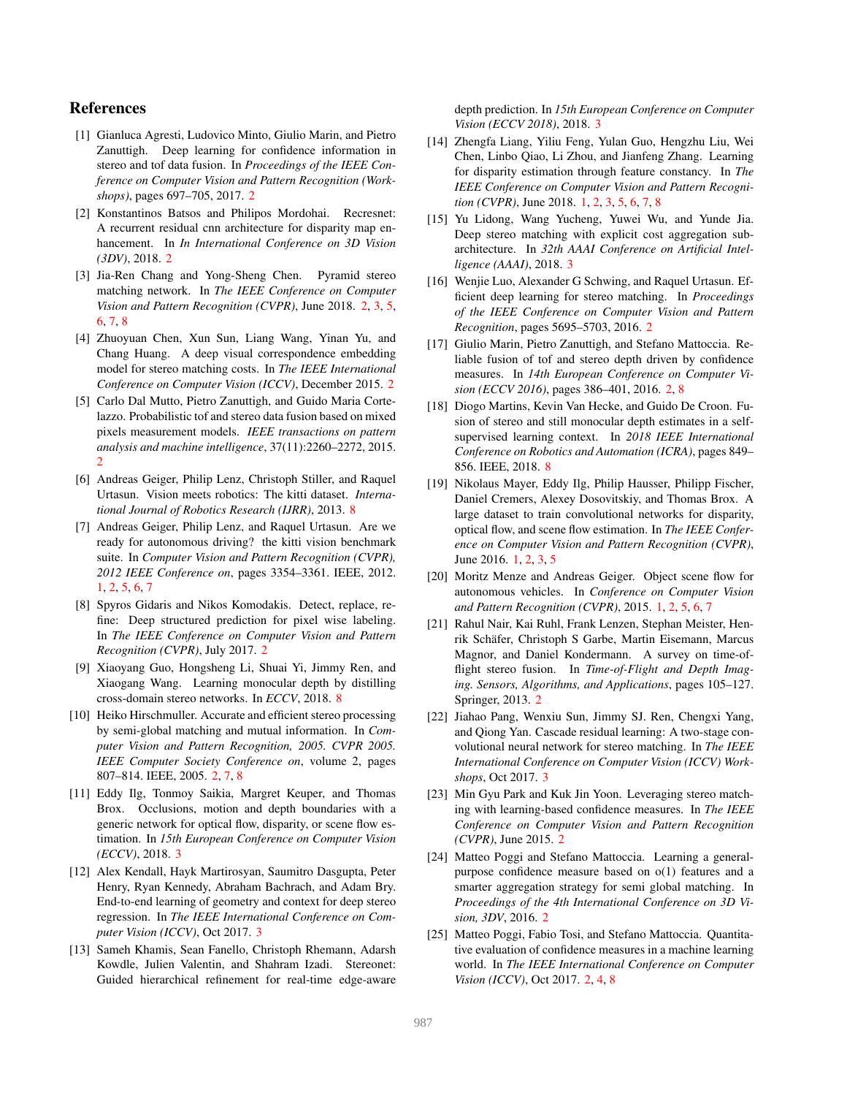### References

- [1] Gianluca Agresti, Ludovico Minto, Giulio Marin, and Pietro Zanuttigh. Deep learning for confidence information in stereo and tof data fusion. In *Proceedings of the IEEE Conference on Computer Vision and Pattern Recognition (Workshops)*, pages 697–705, 2017. 2
- [2] Konstantinos Batsos and Philipos Mordohai. Recresnet: A recurrent residual cnn architecture for disparity map enhancement. In *In International Conference on 3D Vision (3DV)*, 2018. 2
- [3] Jia-Ren Chang and Yong-Sheng Chen. Pyramid stereo matching network. In *The IEEE Conference on Computer Vision and Pattern Recognition (CVPR)*, June 2018. 2, 3, 5, 6, 7, 8
- [4] Zhuoyuan Chen, Xun Sun, Liang Wang, Yinan Yu, and Chang Huang. A deep visual correspondence embedding model for stereo matching costs. In *The IEEE International Conference on Computer Vision (ICCV)*, December 2015. 2
- [5] Carlo Dal Mutto, Pietro Zanuttigh, and Guido Maria Cortelazzo. Probabilistic tof and stereo data fusion based on mixed pixels measurement models. *IEEE transactions on pattern analysis and machine intelligence*, 37(11):2260–2272, 2015. 2
- [6] Andreas Geiger, Philip Lenz, Christoph Stiller, and Raquel Urtasun. Vision meets robotics: The kitti dataset. *International Journal of Robotics Research (IJRR)*, 2013. 8
- [7] Andreas Geiger, Philip Lenz, and Raquel Urtasun. Are we ready for autonomous driving? the kitti vision benchmark suite. In *Computer Vision and Pattern Recognition (CVPR), 2012 IEEE Conference on*, pages 3354–3361. IEEE, 2012. 1, 2, 5, 6, 7
- [8] Spyros Gidaris and Nikos Komodakis. Detect, replace, refine: Deep structured prediction for pixel wise labeling. In *The IEEE Conference on Computer Vision and Pattern Recognition (CVPR)*, July 2017. 2
- [9] Xiaoyang Guo, Hongsheng Li, Shuai Yi, Jimmy Ren, and Xiaogang Wang. Learning monocular depth by distilling cross-domain stereo networks. In *ECCV*, 2018. 8
- [10] Heiko Hirschmuller. Accurate and efficient stereo processing by semi-global matching and mutual information. In *Computer Vision and Pattern Recognition, 2005. CVPR 2005. IEEE Computer Society Conference on*, volume 2, pages 807–814. IEEE, 2005. 2, 7, 8
- [11] Eddy Ilg, Tonmoy Saikia, Margret Keuper, and Thomas Brox. Occlusions, motion and depth boundaries with a generic network for optical flow, disparity, or scene flow estimation. In *15th European Conference on Computer Vision (ECCV)*, 2018. 3
- [12] Alex Kendall, Hayk Martirosyan, Saumitro Dasgupta, Peter Henry, Ryan Kennedy, Abraham Bachrach, and Adam Bry. End-to-end learning of geometry and context for deep stereo regression. In *The IEEE International Conference on Computer Vision (ICCV)*, Oct 2017. 3
- [13] Sameh Khamis, Sean Fanello, Christoph Rhemann, Adarsh Kowdle, Julien Valentin, and Shahram Izadi. Stereonet: Guided hierarchical refinement for real-time edge-aware

depth prediction. In *15th European Conference on Computer Vision (ECCV 2018)*, 2018. 3

- [14] Zhengfa Liang, Yiliu Feng, Yulan Guo, Hengzhu Liu, Wei Chen, Linbo Qiao, Li Zhou, and Jianfeng Zhang. Learning for disparity estimation through feature constancy. In *The IEEE Conference on Computer Vision and Pattern Recognition (CVPR)*, June 2018. 1, 2, 3, 5, 6, 7, 8
- [15] Yu Lidong, Wang Yucheng, Yuwei Wu, and Yunde Jia. Deep stereo matching with explicit cost aggregation subarchitecture. In *32th AAAI Conference on Artificial Intelligence (AAAI)*, 2018. 3
- [16] Wenjie Luo, Alexander G Schwing, and Raquel Urtasun. Efficient deep learning for stereo matching. In *Proceedings of the IEEE Conference on Computer Vision and Pattern Recognition*, pages 5695–5703, 2016. 2
- [17] Giulio Marin, Pietro Zanuttigh, and Stefano Mattoccia. Reliable fusion of tof and stereo depth driven by confidence measures. In *14th European Conference on Computer Vision (ECCV 2016)*, pages 386–401, 2016. 2, 8
- [18] Diogo Martins, Kevin Van Hecke, and Guido De Croon. Fusion of stereo and still monocular depth estimates in a selfsupervised learning context. In *2018 IEEE International Conference on Robotics and Automation (ICRA)*, pages 849– 856. IEEE, 2018. 8
- [19] Nikolaus Mayer, Eddy Ilg, Philip Hausser, Philipp Fischer, Daniel Cremers, Alexey Dosovitskiy, and Thomas Brox. A large dataset to train convolutional networks for disparity, optical flow, and scene flow estimation. In *The IEEE Conference on Computer Vision and Pattern Recognition (CVPR)*, June 2016. 1, 2, 3, 5
- [20] Moritz Menze and Andreas Geiger. Object scene flow for autonomous vehicles. In *Conference on Computer Vision and Pattern Recognition (CVPR)*, 2015. 1, 2, 5, 6, 7
- [21] Rahul Nair, Kai Ruhl, Frank Lenzen, Stephan Meister, Henrik Schäfer, Christoph S Garbe, Martin Eisemann, Marcus Magnor, and Daniel Kondermann. A survey on time-offlight stereo fusion. In *Time-of-Flight and Depth Imaging. Sensors, Algorithms, and Applications*, pages 105–127. Springer, 2013. 2
- [22] Jiahao Pang, Wenxiu Sun, Jimmy SJ. Ren, Chengxi Yang, and Qiong Yan. Cascade residual learning: A two-stage convolutional neural network for stereo matching. In *The IEEE International Conference on Computer Vision (ICCV) Workshops*, Oct 2017. 3
- [23] Min Gyu Park and Kuk Jin Yoon. Leveraging stereo matching with learning-based confidence measures. In *The IEEE Conference on Computer Vision and Pattern Recognition (CVPR)*, June 2015. 2
- [24] Matteo Poggi and Stefano Mattoccia. Learning a generalpurpose confidence measure based on o(1) features and a smarter aggregation strategy for semi global matching. In *Proceedings of the 4th International Conference on 3D Vision, 3DV*, 2016. 2
- [25] Matteo Poggi, Fabio Tosi, and Stefano Mattoccia. Quantitative evaluation of confidence measures in a machine learning world. In *The IEEE International Conference on Computer Vision (ICCV)*, Oct 2017. 2, 4, 8